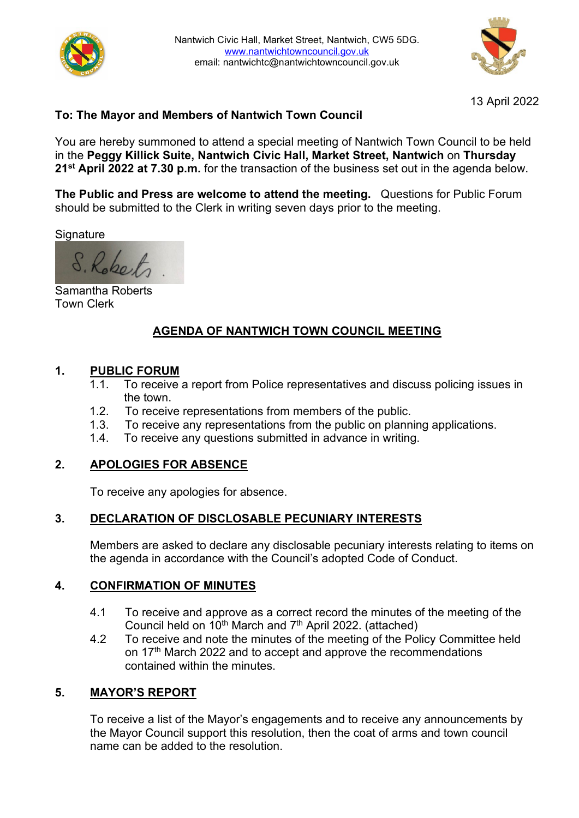



13 April 2022

# **To: The Mayor and Members of Nantwich Town Council**

You are hereby summoned to attend a special meeting of Nantwich Town Council to be held in the **Peggy Killick Suite, Nantwich Civic Hall, Market Street, Nantwich** on **Thursday 21st April 2022 at 7.30 p.m.** for the transaction of the business set out in the agenda below.

**The Public and Press are welcome to attend the meeting.** Questions for Public Forum should be submitted to the Clerk in writing seven days prior to the meeting.

**Signature** 

S. Robert

Samantha Roberts Town Clerk

# **AGENDA OF NANTWICH TOWN COUNCIL MEETING**

#### **1. PUBLIC FORUM**

- 1.1. To receive a report from Police representatives and discuss policing issues in the town.
- 1.2. To receive representations from members of the public.
- 1.3. To receive any representations from the public on planning applications.
- 1.4. To receive any questions submitted in advance in writing.

# **2. APOLOGIES FOR ABSENCE**

To receive any apologies for absence.

# **3. DECLARATION OF DISCLOSABLE PECUNIARY INTERESTS**

Members are asked to declare any disclosable pecuniary interests relating to items on the agenda in accordance with the Council's adopted Code of Conduct.

#### **4. CONFIRMATION OF MINUTES**

- 4.1 To receive and approve as a correct record the minutes of the meeting of the Council held on 10<sup>th</sup> March and 7<sup>th</sup> April 2022. (attached)
- 4.2 To receive and note the minutes of the meeting of the Policy Committee held on 17<sup>th</sup> March 2022 and to accept and approve the recommendations contained within the minutes.

# **5. MAYOR'S REPORT**

To receive a list of the Mayor's engagements and to receive any announcements by the Mayor Council support this resolution, then the coat of arms and town council name can be added to the resolution.